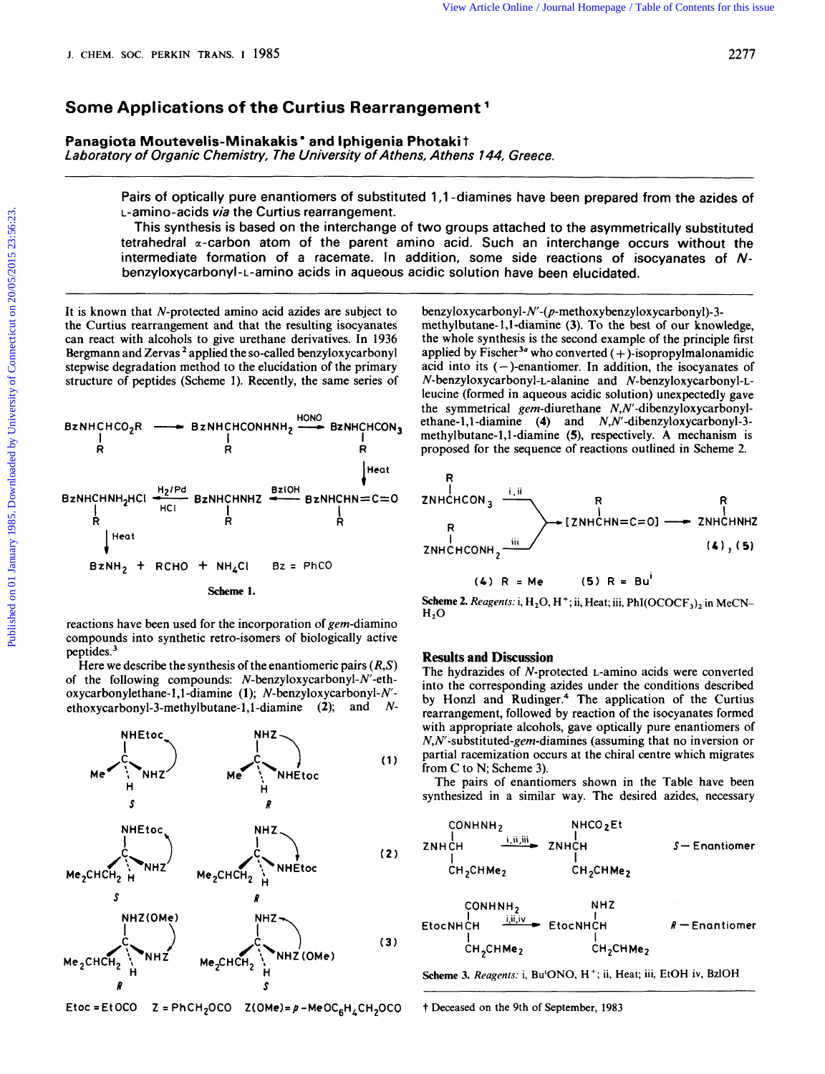# **Some Applications of the Curtius Rearrangement**

Panagiota Moutevelis-Minakakis<sup>\*</sup> and Iphigenia Photakit *Laboratory of Organic Chemistry, The University of Athens, Athens 744, Greece.* 

> Pairs of optically pure enantiomers of substituted **1,l** -diamines have been prepared from the azides of L-amino-acids *via* the Curtius rearrangement.

> This synthesis is based on the interchange of two groups attached to the asymmetrically substituted tetrahedral  $\alpha$ -carbon atom of the parent amino acid. Such an interchange occurs without the intermediate formation of a racemate. In addition, some side reactions of isocyanates of N**benzyloxycarbonyl-L-amino** acids in aqueous acidic solution have been elucidated.

It is known that N-protected amino acid azides are subject to the Curtius rearrangement and that the resulting isocyanates can react with alcohols to give urethane derivatives. In 1936 Bergmann and Zervas ' applied the so-called benzyloxycarbonyl stepwise degradation method to the elucidation of the primary structure of peptides (Scheme 1). Recently, the same series of



reactions have been used for the incorporation of gem-diamino compounds into synthetic retro-isomers of biologically active peptides.<sup>3</sup>

Here we describe the synthesis of the enantiomeric pairs *(R,S)*  of the following compounds: N-benzyloxycarbonyl-N'-ethoxycarbonylethane- 1,l-diamine **(1);** N-benzyloxycarbonyl-N**ethoxycarbonyl-3-methylbutane-l,l-diamine (2);** and *N-* 



 $E$ toc = Et OCO  $Z = PhCH<sub>2</sub>OCO$   $Z(OMe) = p - MeOC<sub>6</sub>H<sub>4</sub>CH<sub>2</sub>OCO$ 

**benzyloxycarbonyl-N'-@-methoxybenzyloxycarbonyl)-3**  methylbutane- 1,l-diamine (3). To the best of our knowledge, the whole synthesis is the second example of the principle first applied by Fischer<sup>3a</sup> who converted  $(+)$ -isopropylmalonamidic acid into its  $(-)$ -enantiomer. In addition, the isocyanates of **N-benzyloxycarbonyl-L-alanine** and N-benzyloxycarbonyl-Lleucine (formed in aqueous acidic solution) unexpectedly gave the symmetrical gem-diurethane N,N'-dibenzyloxycarbonylethane-1,l -diamine **(4)** and **N,N'-dibenzyloxycarbonyl-3**  methylbutane- 1,l -diamine **(5),** respectively. **A** mechanism is proposed for the sequence of reactions outlined in Scheme 2.



*(4)* R =Me *(5)* R = **Bu'** 

**Scheme 2.** Reagents: i, H<sub>2</sub>O, H<sup>+</sup>; ii, Heat; iii, PhI(OCOCF<sub>3</sub>), in MeCN- $H<sub>2</sub>O$ 

# **Results and Discussion**

The hydrazides of N-protected L-amino acids were converted into the corresponding azides under the conditions described by Honzl and Rudinger.<sup>4</sup> The application of the Curtius rearrangement, followed by reaction of the isocyanates formed with appropriate alcohols, gave optically pure enantiomers of **N,W-substituted-gem-diamines** (assuming that no in version or partial racemization occurs at the chiral centre which migrates from C to N; Scheme **3).** 

The pairs of enantiomers shown in the Table have been synthesized in a similar way. The desired azides, necessary

| CONHNH <sub>2</sub>               | NHCO <sub>2</sub> Et              |                                   |                 |
|-----------------------------------|-----------------------------------|-----------------------------------|-----------------|
| ZNHCH                             | 1.ii,iii                          | ZNHCH                             | $S$ —Enantiomer |
| 1                                 | 1                                 | 1                                 |                 |
| CH <sub>2</sub> CHMe <sub>2</sub> | CH <sub>2</sub> CHMe <sub>2</sub> |                                   |                 |
| CONHNH <sub>2</sub>               | NHZ                               |                                   |                 |
| EtocNHCH                          | 1.ii,iv                           | EtocNHCH                          | $R$ —Enantiomer |
| 1                                 | CH <sub>2</sub> CHMe <sub>2</sub> | CH <sub>2</sub> CHMe <sub>2</sub> |                 |

**Scheme 3.** *Reugenfs:* i, Bu'ONO, H+; ii, Heat; iii, EtOH **iv,** BzlOH

t Deceased on the 9th of September, **<sup>1983</sup>**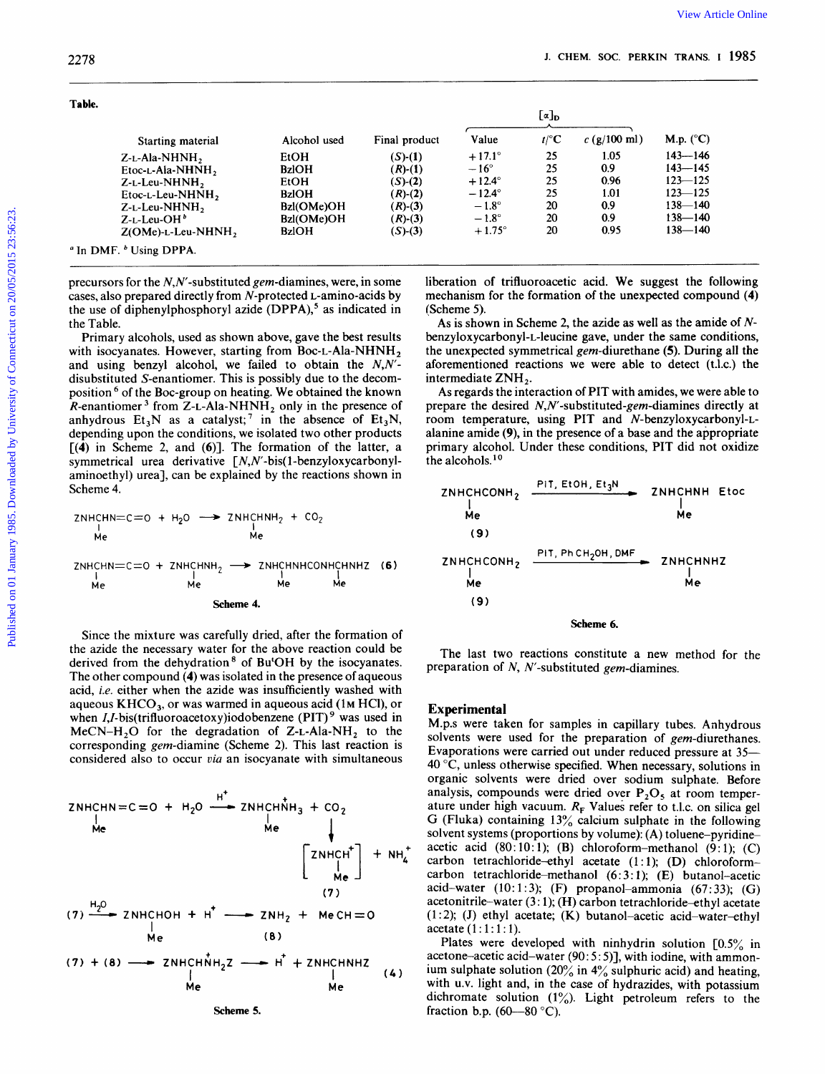| 2278                                                                                                                                                                                                                                                                                                                                                                                                                                                                                                                                                                                                                                                                   |                                              |                                                                             |                                                                    |                      |                                                                                                                                                                                                                                                                                                                                                                                                                                                                    |                                                              |
|------------------------------------------------------------------------------------------------------------------------------------------------------------------------------------------------------------------------------------------------------------------------------------------------------------------------------------------------------------------------------------------------------------------------------------------------------------------------------------------------------------------------------------------------------------------------------------------------------------------------------------------------------------------------|----------------------------------------------|-----------------------------------------------------------------------------|--------------------------------------------------------------------|----------------------|--------------------------------------------------------------------------------------------------------------------------------------------------------------------------------------------------------------------------------------------------------------------------------------------------------------------------------------------------------------------------------------------------------------------------------------------------------------------|--------------------------------------------------------------|
| Table.                                                                                                                                                                                                                                                                                                                                                                                                                                                                                                                                                                                                                                                                 |                                              |                                                                             |                                                                    | $[\alpha]_D$         |                                                                                                                                                                                                                                                                                                                                                                                                                                                                    |                                                              |
| Starting material                                                                                                                                                                                                                                                                                                                                                                                                                                                                                                                                                                                                                                                      | Alcohol used                                 | Final product                                                               | Value                                                              | $t$ /°C              | c (g/100 ml)                                                                                                                                                                                                                                                                                                                                                                                                                                                       | M.p. $(^{\circ}C)$                                           |
| Z-L-Ala-NHNH <sub>2</sub><br>Etoc-L-Ala-NHNH <sub>2</sub><br>$Z$ - $L$ -Leu-NHNH,<br>$E$ toc-L-Leu-NHNH <sub>2</sub>                                                                                                                                                                                                                                                                                                                                                                                                                                                                                                                                                   | EtOH<br><b>BzIOH</b><br>EtOH<br><b>BzIOH</b> | $(S)-(1)$<br>$(R)-(1)$<br>$(S)-(2)$<br>$(R)-(2)$                            | $+17.1^{\circ}$<br>$-16^{\circ}$<br>$+12.4^\circ$<br>$-12.4^\circ$ | 25<br>25<br>25<br>25 | 1.05<br>0.9<br>0.96<br>1.01                                                                                                                                                                                                                                                                                                                                                                                                                                        | $143 - 146$<br>$143 - 145$<br>$123 - 125$<br>$123 - 125$     |
| $Z$ -L-Leu-NHNH <sub>2</sub><br>$Z$ -L-Leu-OH $^b$<br>$Z(OMe)$ -L-Leu-NHNH <sub>2</sub>                                                                                                                                                                                                                                                                                                                                                                                                                                                                                                                                                                                | Bzl(OMe)OH<br>Bzl(OMe)OH<br><b>BzIOH</b>     | $(R)-(3)$<br>$(R)-(3)$<br>$(S)$ - $(3)$                                     | $-1.8^\circ$<br>$-1.8^{\circ}$<br>$+1.75^{\circ}$                  | 20<br>20<br>20       | 0.9 <sub>o</sub><br>0.9<br>0.95                                                                                                                                                                                                                                                                                                                                                                                                                                    | $138 - 140$<br>$138 - 140$<br>$138 - 140$                    |
| cases, also prepared directly from N-protected L-amino-acids by<br>the use of diphenylphosphoryl azide (DPPA), <sup>5</sup> as indicated in<br>the Table.<br>Primary alcohols, used as shown above, gave the best results                                                                                                                                                                                                                                                                                                                                                                                                                                              |                                              | precursors for the $N, N'$ -substituted <i>gem</i> -diamines, were, in some | (Scheme 5).                                                        |                      | mechanism for the formation of the unexpected compound (4)<br>As is shown in Scheme 2, the azide as well as the amide of N-<br>benzyloxycarbonyl-L-leucine gave, under the same conditions,                                                                                                                                                                                                                                                                        | liberation of trifluoroacetic acid. We suggest the following |
| with isocyanates. However, starting from Boc-L-Ala-NHNH <sub>2</sub><br>and using benzyl alcohol, we failed to obtain the $N, N'$ -<br>disubstituted S-enantiomer. This is possibly due to the decom-<br>position <sup>6</sup> of the Boc-group on heating. We obtained the known<br><i>R</i> -enantiomer <sup>3</sup> from Z-L-Ala-NHNH <sub>2</sub> only in the presence of<br>anhydrous $Et_3N$ as a catalyst; <sup>7</sup> in the absence of $Et_3N$ ,<br>depending upon the conditions, we isolated two other products<br>$[(4)$ in Scheme 2, and $(6)]$ . The formation of the latter, a<br>symmetrical urea derivative $\lceil N, N'$ -bis(1-benzyloxycarbonyl- |                                              |                                                                             | intermediate ZNH <sub>2</sub> .<br>the alcohols. <sup>10</sup>     |                      | the unexpected symmetrical gem-diurethane (5). During all the<br>aforementioned reactions we were able to detect (t.l.c.) the<br>As regards the interaction of PIT with amides, we were able to<br>prepare the desired $N, N'$ -substituted-gem-diamines directly at<br>room temperature, using PIT and N-benzyloxycarbonyl-L-<br>alanine amide (9), in the presence of a base and the appropriate<br>primary alcohol. Under these conditions, PIT did not oxidize |                                                              |
| aminoethyl) ureal, can be explained by the reactions shown in<br>Scheme 4.                                                                                                                                                                                                                                                                                                                                                                                                                                                                                                                                                                                             |                                              |                                                                             | ZNHCHCONH <sub>2</sub>                                             |                      | PIT, EtOH, Et3N                                                                                                                                                                                                                                                                                                                                                                                                                                                    | <b>ZNHCHNH Etoc</b>                                          |
| ZNHCHN=C=0 + H <sub>2</sub> O $\longrightarrow$ ZNHCHNH <sub>2</sub> + CO <sub>2</sub>                                                                                                                                                                                                                                                                                                                                                                                                                                                                                                                                                                                 |                                              |                                                                             | Me<br>(9)                                                          |                      |                                                                                                                                                                                                                                                                                                                                                                                                                                                                    | Me                                                           |
| Me<br>Me<br>ZNHCHN= $c=0 + 2N$ HCHNH <sub>2</sub> $\longrightarrow 2N$ HCHNHCONHCHNHZ (6)<br>Me<br>Me                                                                                                                                                                                                                                                                                                                                                                                                                                                                                                                                                                  | Me<br>Me                                     |                                                                             | ZNHCHCONH <sub>2</sub><br>Me                                       |                      | PIT, Ph CH <sub>2</sub> OH, DMF                                                                                                                                                                                                                                                                                                                                                                                                                                    | <b>ZNHCHNHZ</b><br>Me                                        |

**ZNHCHN=C=O t H20** + **ZNHCHNH,** + **CO,**  I <sup>I</sup> **Me Me ZNHCHN=C=O** + **ZNHCHNH2** + **ZNHCHNHCONHCHNHZ (6) I** <sup>I</sup> **Me Me I** I **Me Me Scheme 4.** 

Since the mixture was carefully dried, after the formation of the azide the necessary water for the above reaction could be derived from the dehydration<sup>8</sup> of Bu<sup>t</sup>OH by the isocyanates. The other compound **(4)** was isolated in the presence of aqueous acid, i.e. either when the azide was insufficiently washed with aqueous **KHCO,,** or was warmed in aqueous acid **(IM** HCl), or when *I*,*I*-bis(trifluoroacetoxy)iodobenzene (PIT)<sup>9</sup> was used in MeCN-H<sub>2</sub>O for the degradation of Z-L-Ala-NH<sub>2</sub> to the corresponding gem-diamine (Scheme **2).** This last reaction is considered also to occur *via* an isocyanate with simultaneous

corresponding *gem*-diamine (Scheme 2). This last reaction is  
considered also to occur *via* an isocyanate with simultaneous  
ZNHCHN = C = 0 + H<sub>2</sub>O 
$$
\xrightarrow{\text{H}^+}
$$
 ZNHCHNH<sub>3</sub> + CO<sub>2</sub>  
\n $\downarrow$ \n $\left[\begin{array}{c} 2NHCH^{\dagger} \\ H \end{array}\right] + NH_{4}^{\dagger}$   
\n(7)  
\n(7)  
\n(7)  
\n(8)  
\n(9)  
\n(1)  
\n(1)  
\n $\downarrow$ \n $\left[\begin{array}{c} 2NHCH^{\dagger} \\ H \end{array}\right] + NH_{4}^{\dagger}$   
\n(9)  
\nMe  
\n(1)  
\nMe  
\nMe  
\nMe  
\nMe  
\nMe  
\nMe

**Scheme 5.** 



The last two reactions constitute a new method for the preparation of *N, N'*-substituted gem-diamines.

# **Experimental**

M.p.s were taken for samples in capillary tubes. Anhydrous solvents were used for the preparation of gem-diurethanes. Evaporations were carried out under reduced pressure at 35- **40** "C, unless otherwise specified. When necessary, solutions in organic solvents were dried over sodium sulphate. Before analysis, compounds were dried over  $P_2O_5$  at room temperature under high vacuum.  $R_F$  Values refer to t.l.c. on silica gel G (Fluka) containing  $13\%$  calcium sulphate in the following solvent systems (proportions by volume): (A) toluene-pyridineacetic acid **(80:** 10: 1); (B) chloroform-methanol **(9:** 1); (C) carbon tetrachloride-ethyl acetate (1:1); (D) chloroformcarbon tetrachloride-methanol (6:3:1); (E) butanol-acetic acid-water  $(10:1:3)$ ;  $(F)$  propanol-ammonia  $(67:33)$ ;  $(G)$ acetonitrile-water  $(3:1)$ ;  $(H)$  carbon tetrachloride-ethyl acetate (1 : **2); (J)** ethyl acetate; **(K)** butanol-acetic acid-water-ethyl acetate (1 : 1 : **1** : **1).** 

Plates were developed with ninhydrin solution *[OS%* in acetone-acetic acid-water (90: *5* : *5)],* with iodine, with ammonium sulphate solution **(20%** in **4%** sulphuric acid) and heating, with u.v. light and, in the case of hydrazides, with potassium dichromate solution  $(1\%)$ . Light petroleum refers to the fraction b.p. **(60-80 "C).**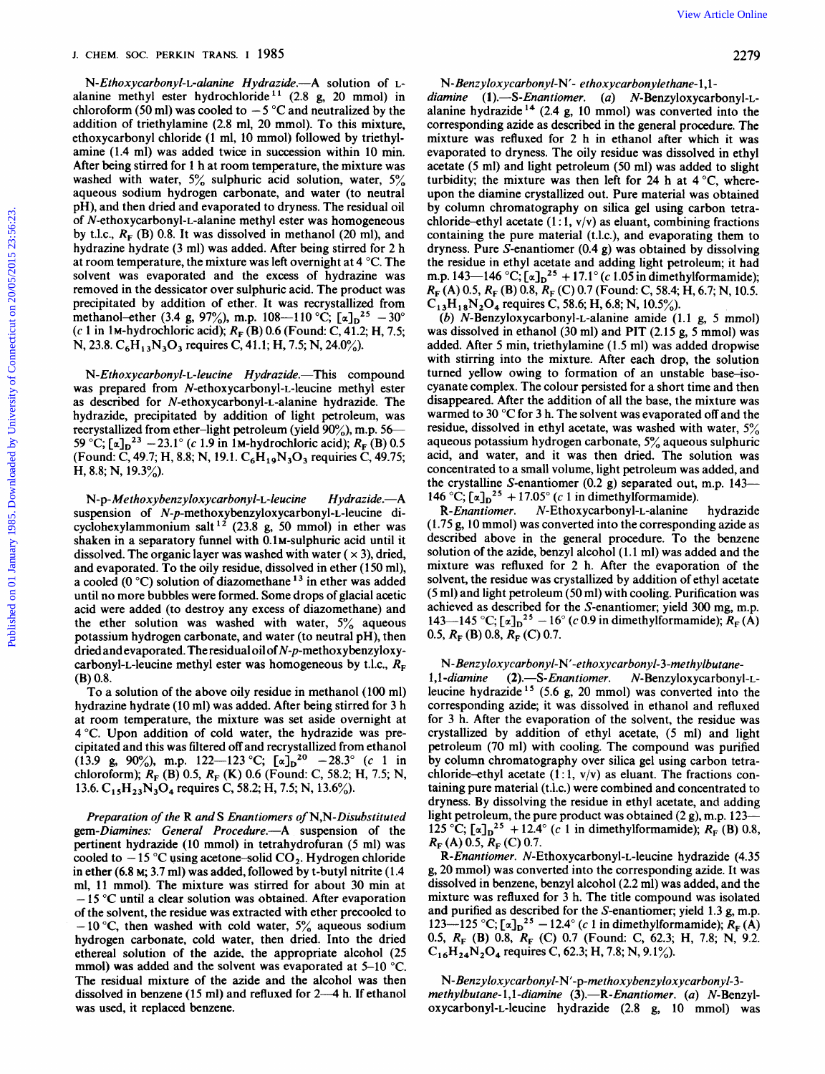N-Ethoxycarbonyl-L-alanine Hydrazide.-- A solution of Lalanine methyl ester hydrochloride<sup>11</sup> (2.8 g, 20 mmol) in chloroform (50 ml) was cooled to  $-5^{\circ}$ C and neutralized by the addition of triethylamine (2.8 ml, 20 mmol). To this mixture, ethoxycarbonyl chloride (1 ml, 10 mmol) followed by triethylamine (1.4 ml) was added twice in succession within 10 min. After being stirred for 1 h at room temperature, the mixture was washed with water, *5%* sulphuric acid solution, water, *5%*  aqueous sodium hydrogen carbonate, and water (to neutral pH), and then dried and evaporated to dryness. The residual oil of **N-ethoxycarbonyl-L-alanine** methyl ester was homogeneous by t.l.c.,  $R_F$  (B) 0.8. It was dissolved in methanol (20 ml), and hydrazine hydrate (3 ml) was added. After being stirred for 2 h at room temperature, the mixture was left overnight at 4 "C. The solvent was evaporated and the excess of hydrazine was removed in the dessicator over sulphuric acid. The product was precipitated by addition of ether. It was recrystallized from methanol-ether (3.4 g, 97%), m.p. 108-110 °C;  $[\alpha]_D^{25} - 30^\circ$ (c 1 in 1M-hydrochloric acid); *RF* (B) 0.6 (Found: C, 41.2; H, 7.5; N, 23.8. C<sub>6</sub>H<sub>13</sub>N<sub>3</sub>O<sub>3</sub> requires C, 41.1; H, 7.5; N, 24.0%). Published on  $\sim$  Published on 2018<br>
N. Education (3) and the statistical connecticut of Connecticut on 2018) in dimension (3) and the statistical connecticut of Connecticut on 2018) and the statistical connecticut of Con

*N-Ethoxycarbonyl-L-leucine Hydrazide.*-This compound was prepared from **N-ethoxycarbonyl-L-leucine** methyl ester **as** described for **N-ethoxycarbonyl-L-alanine** hydrazide. The hydrazide, precipitated by addition of light petroleum, was recrystallized from ether-light petroleum (yield **90%),** m.p. 56- 59 °C;  $[\alpha]_D^{23}$  – 23.1° (c 1.9 in 1M-hydrochloric acid);  $R_F$  (B) 0.5 (Found: C, 49.7; H, 8.8; N, 19.1. **C,H,,N,O,** requiries C, 49.75; H, 8.8; N, 19.3%).

*N-p-Methoxybenzyloxycarbonyl-L-leucine* Hydrazide.-A suspension of **N-p-methoxybenzyloxycarbonyl-L-leucine** dicyclohexylammonium salt<sup>12</sup> (23.8 g, 50 mmol) in ether was shaken in a separatory funnel with 0.1M-sulphuric acid until it dissolved. The organic layer was washed with water  $(x, 3)$ , dried, and evaporated. To the oily residue, dissolved in ether (1 **50** ml), a cooled  $(0 °C)$  solution of diazomethane<sup>13</sup> in ether was added until no more bubbles were formed. Some drops of glacial acetic acid were added (to destroy any excess of diazomethane) and the ether solution was washed with water, *5%* aqueous potassium hydrogen carbonate, and water (to neutral pH), then dried andevaporated. The residual oil of N-p-methoxybenzyloxycarbonyl-L-leucine methyl ester was homogeneous by t.l.c.,  $R_F$ (B) 0.8.

To a solution of the above oily residue in methanol (100 ml) hydrazine hydrate (10 ml) was added. After being stirred for 3 h at room temperature, the mixture was set aside overnight at 4°C. Upon addition of cold water, the hydrazide was precipitated and this was filtered off and recrystallized from ethanol (13.9 g, 90%), m.p. 122-123 °C;  $[\alpha]_D^{20}$  -28.3° (c 1 in chloroform);  $R_F$  (B) 0.5,  $R_F$  (K) 0.6 (Found: C, 58.2; H, 7.5; N, 13.6. **C15H23N304** requires C, 58.2; H, 7.5; N, 13.6%).

Preparation *of* the R and S Enantiomers *of* N,N-Disubstituted gem-Diamines: General Procedure.--A suspension of the pertinent hydrazide (10 mmol) in tetrahydrofuran *(5* ml) was cooled to  $-15$  °C using acetone-solid CO<sub>2</sub>. Hydrogen chloride in ether (6.8 M; 3.7 ml) was added, followed by t-butyl nitrite (1.4 ml, 11 mmol). The mixture was stirred for about 30 min at  $-15$  °C until a clear solution was obtained. After evaporation of the solvent, the residue was extracted with ether precooled to -1O"C, then washed with cold water, *5%* aqueous sodium hydrogen carbonate, cold water, then dried. Into the dried ethereal solution of the azide. the appropriate alcohol (25 mmol) was added and the solvent was evaporated at 5-10 °C. The residual mixture of the azide and the alcohol was then dissolved in benzene (15 ml) and refluxed for 2-4 h. If ethanol was used, it replaced benzene.

N-Benzyloxycarbonyl-N'- ethoxycarbonylethane-1,1-

diamine  $(1)$ .-S-Enantiomer.  $(a)$  N-Benzyloxycarbonyl-Lalanine hydrazide<sup>14</sup> (2.4 g, 10 mmol) was converted into the corresponding azide as described in the general procedure. The mixture was refluxed for 2 h in ethanol after which it was evaporated to dryness. The oily residue was dissolved in ethyl acetate *(5* ml) and light petroleum (50 ml) was added to slight turbidity; the mixture was then left for 24 h at  $4^{\circ}$ C, whereupon the diamine crystallized out. Pure material was obtained by column chromatography on silica gel using carbon tetrachloride-ethyl acetate  $(1:1, v/v)$  as eluant, combining fractions containing the pure material (t.l.c.), and evaporating them to dryness. Pure S-enantiomer (0.4 g) was obtained by dissolving the residue in ethyl acetate and adding light petroleum; it had m.p. 143-146 °C;  $[\alpha]_D^2$ <sup>5</sup> + 17.1° (c 1.05 in dimethylformamide);  $C_{13}H_{18}N_2O_4$  requires C, 58.6; H, 6.8; N, 10.5%). *RF* (A) 0.5, *RF* (B) 0.8, *RF* **(C)** 0.7 (Found: C, 58.4; H, 6.7; N, 10.5.

(b) **N-Benzyloxycarbonyl-L-alanine** amide (1.1 g, 5 mmol) was dissolved in ethanol (30 ml) and PIT (2.15 g, *5* mmol) was added. After 5 min, triethylamine (1.5 ml) was added dropwise with stirring into the mixture. After each drop, the solution turned yellow owing to formation of an unstable base-isocyanate complex. The colour persisted for a short time and then disappeared. After the addition of all the base, the mixture was warmed to 30 °C for 3 h. The solvent was evaporated off and the residue, dissolved in ethyl acetate, was washed with water, *5%*  aqueous potassium hydrogen carbonate, 5% aqueous sulphuric acid, and water, and it was then dried. The solution was concentrated to a small volume, light petroleum was added, and the crystalline S-enantiomer (0.2 g) separated out, m.p. 143- 146 °C;  $\left[\alpha\right]_D^2$ <sup>5</sup> + 17.05° (c 1 in dimethylformamide).

R-Enantiomer. **N-Ethoxycarbonyl-L-alanine** hydrazide (1.75 g, 10 mmol) was converted into the corresponding azide as described above in the general procedure. To the benzene solution of the azide, benzyl alcohol (1.1 ml) was added and the mixture was refluxed for 2 h. After the evaporation of the solvent, the residue was crystallized by addition of ethyl acetate (5 ml) and light petroleum (50 ml) with cooling. Purification was achieved as described for the S-enantiomer; yield 300 mg, m.p. achieved as described for the S-enantiomer; yield 300 mg, m.p.<br>143—145 °C;  $[\alpha]_D^2$ <sup>5</sup> - 16° (c 0.9 in dimethylformamide);  $R_F(A)$ 0.5, *RF* (B) 0.8, *R,* (C) **0.7.** 

#### N- *Benzyloxycarbonyl-N'-ethoxycarbonyl-3-methyfbutane-*

1,1-diamine (2).-S-Enantiomer. N-Benzyloxycarbonyl-Lleucine hydrazide **l5** (5.6 g, 20 mmol) was converted into the corresponding azide; it was dissolved in ethanol and refluxed for 3 h. After the evaporation of the solvent, the residue was crystallized by addition of ethyl acetate, *(5* ml) and light petroleum (70 ml) with cooling. The compound was purified by column chromatography over silica gel using carbon tetrachloride-ethyl acetate  $(1:1, v/v)$  as eluant. The fractions containing pure material (t.1.c.) were combined and concentrated to dryness. By dissolving the residue in ethyl acetate, and adding light petroleum, the pure product was obtained (2 g), m.p. 123- $125^\circ \text{C};$   $\left[\alpha\right]_D^{25} + 12.4^\circ$  (c 1 in dimethylformamide);  $R_F$  (B) 0.8, *RF* (A) 0.5, *RF* **(C) 0.7.** 

R-Enantiomer. **N-Ethoxycarbonyl-L-leucine** hydrazide (4.35 g, 20 mmol) was converted into the corresponding azide. It was dissolved in benzene, benzyl alcohol (2.2 ml) was added, and the mixture was refluxed for 3 h. The title compound was isolated and purified as described for the S-enantiomer; yield 1.3 g, m.p. 123-125 °C;  $[\alpha]_D^{25} - 12.4$ ° (c 1 in dimethylformamide);  $R_F(A)$  $C_{16}H_{24}N_2O_4$  requires C, 62.3; H, 7.8; N, 9.1%). 0.5, *RF* (B) 0.8, *RF* (C) 0.7 (Found: C, 62.3; H, 7.8; N, 9.2.

*N-Benzyfoxycarbonyf-N'-p-methoxybenzyfoxycarbonyf-3*  methylbutane- $1,1$ -diamine (3).—R-Enantiomer. (a) N-Benzyloxycarbonyl-L-leucine hydrazide (2.8 g, 10 mmol) was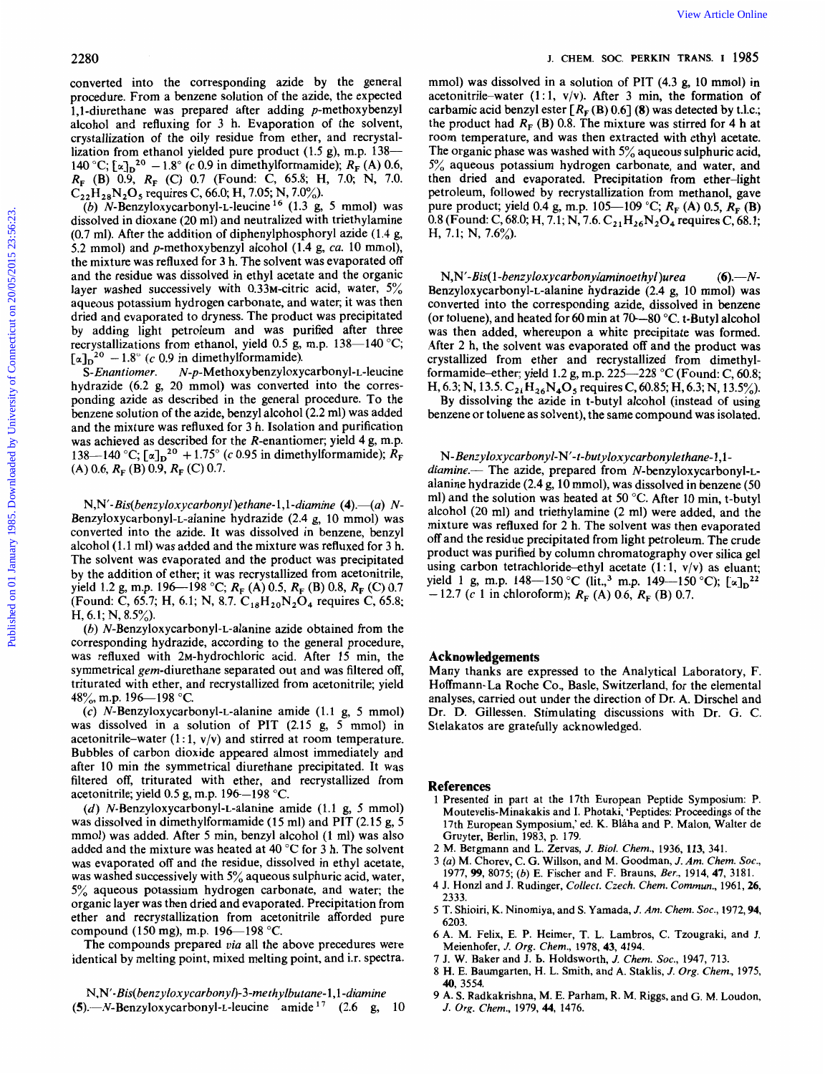converted into the corresponding azide by the general procedure. From a benzene solution of the azide, the expected 1,1-diurethane was prepared after adding  $p$ -methoxybenzyl alcohol and refluxing for 3 h. Evaporation of the solvent, crystallization of the oily residue from ether, and recrystallization from ethanol yielded pure product (1.5 g), m.p. 138— 140 °C;  $[\alpha]_D^{20} - 1.8$ ° (c 0.9 in dimethylformamide);  $R_F(A)$  0.6,  $C_{22}H_{28}N_2O_5$  requires C, 66.0; H, 7.05; N, 7.0%). *RF* (B) 0.9, *R,* (C) 0.7 (Found: C, 65.8; H, 7.0; N, 7.0.

*(b)* **N-Benzyloxycarbonyl-L-leucine** l6 (1.3 g, 5 mmol) was dissolved in dioxane (20 ml) and neutralized with triethylamine (0.7 ml). After the addition of diphenylphosphoryl azide (1.4 g, 5.2 mmol) and p-methoxybenzyl alcohol (1.4 g, ca. 10 mmol), the mixture was refluxed for 3 h. The solvent was evaporated off and the residue was dissolved in ethyl acetate and the organic layer washed successively with 0.33M-citric acid, water, 5% aqueous potassium hydrogen carbonate, and water; it was then dried and evaporated to dryness. The product was precipitated by adding light petroleum and was purified after three recrystallizations from ethanol, yield 0.5 g, m.p. 138-140 °C;  $\begin{bmatrix} \alpha \end{bmatrix}_{D}^{20}$  - 1.8° (c 0.9 in dimethylformamide).<br>S-*Enantiomer.* N-p-Methoxybenzyloxy 2280<br>
2280<br>
converted into the corresponding azide by the guaral<br>
procedure From a bottom controller and the radio, the expected accounting teater (1,1, view Article Distribution of the radio teater (1, view Article Onlin

 $N-p$ -Methoxybenzyloxycarbonyl-L-leucine hydrazide (6.2 g, 20 mmol) was converted into the corresponding azide as described in the general procedure. To the benzene solution of the azide, benzyl alcohol (2.2 ml) was added and the mixture was refluxed for 3 h. Isolation and purification was achieved as described for the R-enantiomer; yield 4 g, m.p. 138—140 °C;  $[\alpha]_D^2$ <sup>0</sup> + 1.75° (c 0.95 in dimethylformamide);  $\hat{R}_F$  $(A)$  0.6,  $R_F$  (B) 0.9,  $R_F$  (C) 0.7.

N,N'-Bis(benzyloxycarbonyl)ethane-1,1-diamine (4).—(a) N-**Benzyloxycarbonyl-L-alanine** hydrazide (2.4 g, 10 mmol) was converted into the azide. It was dissolved in benzene, benzyl alcohol (1.1 ml) was added and the mixture was refluxed for 3 h. The solvent was evaporated and the product was precipitated by the addition of ether; it was recrystallized from acetonitrile, (Found: C, 65.7; H, 6.1; N, 8.7.  $C_{18}H_{20}N_2O_4$  requires C, 65.8; H,  $6.1$ ; N,  $8.5\%$ ). yield 1.2 g, m.p. 196-198 °C;  $R_F(A)$  0.5,  $R_F(B)$  0.8,  $R_F(C)$  0.7

(b) **N-Benzyloxycarbonyl-L-alanine** azide obtained from the corresponding hydrazide, according to the general procedure, was refluxed with 2M-hydrochloric acid. After 15 min, the symmetrical gem-diurethane separated out and was filtered off, triturated with ether, and recrystallized from acetonitrile; yield 48%, m.p. 196-198 °C.

*(c)* **N-Benzyloxycarbonyl-L-alanine** amide (1.1 g, 5 mmol) was dissolved in a solution of PIT (2.15 g, 5 mmol) in acetonitrile-water  $(1:1, v/v)$  and stirred at room temperature. Bubbles of carbon dioxide appeared almost immediately and after 10 min the symmetrical diurethane precipitated. It was filtered off, triturated with ether, and recrystallized from acetonitrile; yield 0.5 g, m.p.  $196-198$  °C.

(d) **N-Benzyloxycarbonyl-L-alanine** amide (1.1 g, 5 mmol) was dissolved in dimethylformamide  $(15 \text{ ml})$  and PIT  $(2.15 \text{ g}, 5)$ mmol) was added. After 5 min, benzyl alcohol (1 ml) was also added and the mixture was heated at 40 "C for 3 h. The solvent was evaporated off and the residue, dissolved in ethyl acetate, was washed successively with *5%* aqueous sulphuric acid, water, *5%* aqueous potassium hydrogen carbonate, and water; the organic layer was then dried and evaporated. Precipitation from ether and recrystallization from acetonitrile afforded pure compound (150 mg), m.p.  $196 - 198$  °C.

The compounds prepared via all the above precedures were identical by melting point, mixed melting point, and i.r. spectra. mmol) was dissolved in a solution of PIT (4.3 g, 10 mmol) in acetonitrile-water (1:1,  $v/v$ ). After 3 min, the formation of carbamic acid benzyl ester  $[R_F(B) 0.6]$  (8) was detected by t.l.c.; the product had  $R_F$  (B) 0.8. The mixture was stirred for 4 h at room temperature, and was then extracted with ethyl acetate. The organic phase was washed with *5%* aqueous sulphuric acid, *5%* aqueous potassium hydrogen carbonate, and water, and then dried and evaporated. Precipitation from ether-light petroleum, followed by recrystallization from methanol, gave pure product; yield 0.4 g, m.p. 105—109 °C;  $R_F(A)$  0.5,  $R_F(B)$ 0.8 (Found: C, 68.0; H, 7.1; N, 7.6. C<sub>21</sub>H<sub>26</sub>N<sub>2</sub>O<sub>4</sub> requires C, 68.1; H, 7.1; N, 7.6%).

N,N'-Bis( 1 *-benzyloxycarbonylarninoethyl)urea (6).-N-***Benzyloxycarbonyl-L-alanine** hydrazide (2.4 g, 10 mmol) was converted into the corresponding azide, dissolved in benzene (or toluene), and heated for 60 min at  $70-80$  °C. t-Butyl alcohol was then added, whereupon a white precipitate was formed. After 2 h, the solvent was evaporated **off** and the product was crystallized from ether and recrystallized from dimethylformamide-ether; yield 1.2 g, m.p.  $225-228$  °C (Found: C, 60.8; H, 6.3; N, 13.5.  $C_{21}H_{26}N_4O_5$  requires C, 60.85; H, 6.3; N, 13.5%). By dissolving the azide in t-butyl alcohol (instead of using benzene or toluene as solvent), the same compound was isolated.

N-Benzyloxycarbonyl-N'-t-butyloxycarbonylethane-1,1 $diamine$ . The azide, prepared from N-benzyloxycarbonyl-Lalanine hydrazide (2.4 g, 10 mmol), was dissolved in benzene (50 ml) and the solution was heated at 50 "C. After 10 min, t-butyl alcohol (20 ml) and triethylamine (2 ml) were added, and the mixture was refluxed for 2 h. The solvent was then evaporated off and the residue precipitated from light petroleum. The crude product was purified by column chromatography over silica gel using carbon tetrachloride-ethyl acetate  $(1:1, v/v)$  as eluant; yield 1 g, m.p. 148-150 °C (lit.,<sup>3</sup> m.p. 149--150 °C);  $[\alpha]_D^2$ <sup>22</sup>  $-12.7$  (c 1 in chloroform);  $R_F$  (A) 0.6,  $R_F$  (B) 0.7.

## **Acknowledgements**

Many thanks are expressed to the Analytical Laboratory, F. Hoffmann-La Roche Co., Basle, Switzerland, for the elemental analyses, carried out under the direction of Dr. A. Dirschel and Dr. D. Gillessen. Stimulating discussions with Dr. G. C. Stelakatos are gratefully acknowledged.

### **References**

- **<sup>1</sup>Presented in part at the 17th European Peptide Symposium: P. Moutevelis-Minakakis and I. Photaki, 'Peptides: Proceedings of the 17th European Symposium,' ed. K. Blaha and P. Malon, Walter de Gruyter, Berlin, 1983, p. 179.**
- **2 M. Bergmann and L. Zervas,** *J. Biol. Chem.,* **1936, 113, 341.**
- **3 (a) M. Chorev, C. G. Willson, and M. Goodman,** *J. Am. Chem. SOC.,*
- **1977, 99, 8075;** *(b)* **E. Fischer and F. Brauns,** *Eer.,* **1914, 47, 3181. 4 J. Honzl and J. Rudinger,** *Collect. Czech. Chem. Commun.,* **1961,26,**
- **2333. 5 T. Shioiri, K. Ninomiya, and S. Yamada,** *J. Am. Chem.* **SOC., 1972,94,**
- **6203. 6 A. M. Felix, E. P. Heimer, T. L. Lambros, C. Tzougraki, and J.**
- **Meienhofer,** *J. Org. Chem.,* **1978, 43, 4194.**
- **7 J. W. Baker and J. b. Holdsworth,** *J. Chem. SOC.,* **1947, 713.**
- **8 H. E. Baumgarten, H. L. Smith, and A. Staklis,** *J. Org. Chem.,* **1975, 40, 3554.**
- **9 A. S. Radkakrishna, M. E. Parham, R. M. Riggs, and G. M. Loudon,**  *J. Org. Chem.,* **1979, 44, 1476.**